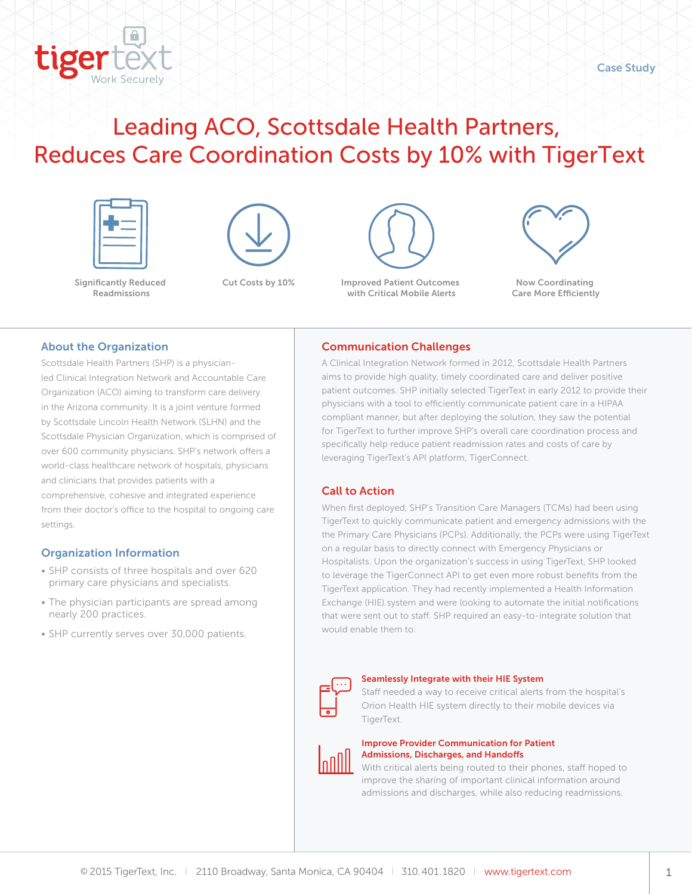

# Leading ACO, Scottsdale Health Partners, Reduces Care Coordination Costs by 10% with TigerText



Significantly Reduced Readmissions



Cut Costs by 10% Improved Patient Outcomes with Critical Mobile Alerts



Now Coordinating **Care More Efficiently** 

# About the Organization

Scottsdale Health Partners (SHP) is a physicianled Clinical Integration Network and Accountable Care Organization (ACO) aiming to transform care delivery in the Arizona community. It is a joint venture formed by Scottsdale Lincoln Health Network (SLHN) and the Scottsdale Physician Organization, which is comprised of over 600 community physicians. SHP's network offers a world-class healthcare network of hospitals, physicians and clinicians that provides patients with a comprehensive, cohesive and integrated experience from their doctor's office to the hospital to ongoing care settings.

## Organization Information

- SHP consists of three hospitals and over 620 primary care physicians and specialists.
- The physician participants are spread among nearly 200 practices.
- SHP currently serves over 30,000 patients.

# Communication Challenges

A Clinical Integration Network formed in 2012, Scottsdale Health Partners aims to provide high quality, timely coordinated care and deliver positive patient outcomes. SHP initially selected TigerText in early 2012 to provide their physicians with a tool to efficiently communicate patient care in a HIPAA compliant manner, but after deploying the solution, they saw the potential for TigerText to further improve SHP's overall care coordination process and specifically help reduce patient readmission rates and costs of care by leveraging TigerText's API platform, TigerConnect.

## Call to Action

When first deployed, SHP's Transition Care Managers (TCMs) had been using TigerText to quickly communicate patient and emergency admissions with the the Primary Care Physicians (PCPs). Additionally, the PCPs were using TigerText on a regular basis to directly connect with Emergency Physicians or Hospitalists. Upon the organization's success in using TigerText, SHP looked to leverage the TigerConnect API to get even more robust benefits from the TigerText application. They had recently implemented a Health Information Exchange (HIE) system and were looking to automate the initial notifications that were sent out to staff. SHP required an easy-to-integrate solution that would enable them to:



#### Seamlessly Integrate with their HIE System

Staff needed a way to receive critical alerts from the hospital's Orion Health HIE system directly to their mobile devices via TigerText.



#### Improve Provider Communication for Patient Admissions, Discharges, and Handoffs

With critical alerts being routed to their phones, staff hoped to improve the sharing of important clinical information around admissions and discharges, while also reducing readmissions.